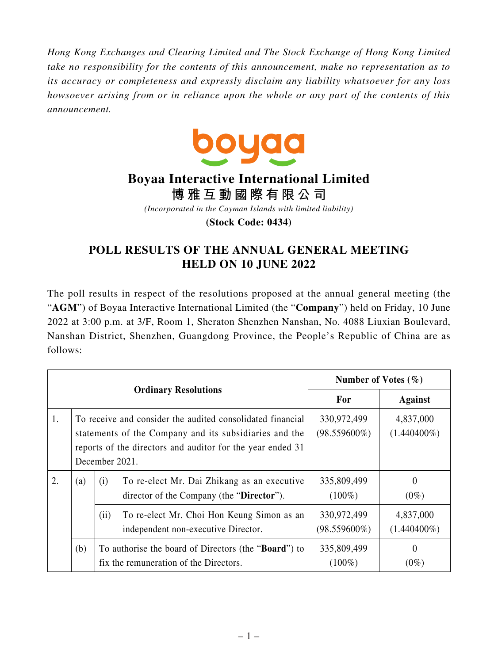*Hong Kong Exchanges and Clearing Limited and The Stock Exchange of Hong Kong Limited take no responsibility for the contents of this announcement, make no representation as to its accuracy or completeness and expressly disclaim any liability whatsoever for any loss howsoever arising from or in reliance upon the whole or any part of the contents of this announcement.*



## **Boyaa Interactive International Limited**

**博雅互動國際有限公司**

*(Incorporated in the Cayman Islands with limited liability)*

**(Stock Code: 0434)**

## **POLL RESULTS OF THE ANNUAL GENERAL MEETING HELD ON 10 JUNE 2022**

The poll results in respect of the resolutions proposed at the annual general meeting (the "**AGM**") of Boyaa Interactive International Limited (the "**Company**") held on Friday, 10 June 2022 at 3:00 p.m. at 3/F, Room 1, Sheraton Shenzhen Nanshan, No. 4088 Liuxian Boulevard, Nanshan District, Shenzhen, Guangdong Province, the People's Republic of China are as follows:

| <b>Ordinary Resolutions</b> |     |                                                                                                                                                                                                      | Number of Votes $(\% )$        |                             |
|-----------------------------|-----|------------------------------------------------------------------------------------------------------------------------------------------------------------------------------------------------------|--------------------------------|-----------------------------|
|                             |     |                                                                                                                                                                                                      | For                            | <b>Against</b>              |
| 1.                          |     | To receive and consider the audited consolidated financial<br>statements of the Company and its subsidiaries and the<br>reports of the directors and auditor for the year ended 31<br>December 2021. | 330,972,499<br>$(98.559600\%)$ | 4,837,000<br>$(1.440400\%)$ |
| 2.                          | (a) | To re-elect Mr. Dai Zhikang as an executive<br>(i)<br>director of the Company (the "Director").                                                                                                      | 335,809,499<br>$(100\%)$       | $\theta$<br>$(0\%)$         |
|                             |     | To re-elect Mr. Choi Hon Keung Simon as an<br>(ii)<br>independent non-executive Director.                                                                                                            | 330,972,499<br>$(98.559600\%)$ | 4,837,000<br>$(1.440400\%)$ |
|                             | (b) | To authorise the board of Directors (the " <b>Board</b> ") to<br>fix the remuneration of the Directors.                                                                                              | 335,809,499<br>$(100\%)$       | $\theta$<br>$(0\%)$         |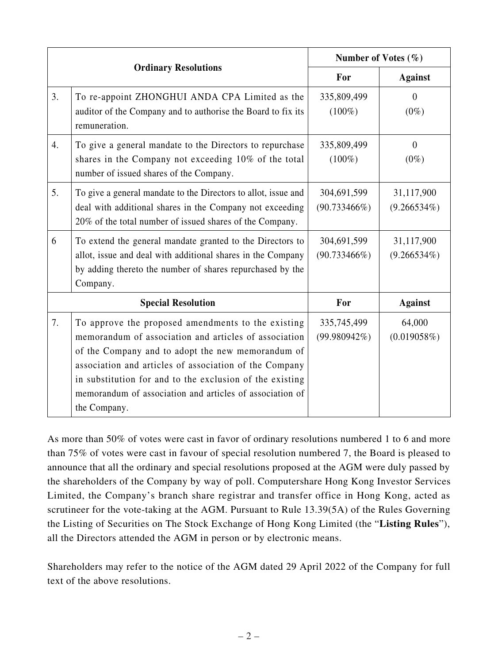|    |                                                                                                                                                                                                                                                                                                                                                                    | Number of Votes $(\%)$         |                              |
|----|--------------------------------------------------------------------------------------------------------------------------------------------------------------------------------------------------------------------------------------------------------------------------------------------------------------------------------------------------------------------|--------------------------------|------------------------------|
|    | <b>Ordinary Resolutions</b>                                                                                                                                                                                                                                                                                                                                        | For                            | <b>Against</b>               |
| 3. | To re-appoint ZHONGHUI ANDA CPA Limited as the<br>auditor of the Company and to authorise the Board to fix its<br>remuneration.                                                                                                                                                                                                                                    | 335,809,499<br>$(100\%)$       | $\overline{0}$<br>$(0\%)$    |
| 4. | To give a general mandate to the Directors to repurchase<br>shares in the Company not exceeding 10% of the total<br>number of issued shares of the Company.                                                                                                                                                                                                        | 335,809,499<br>$(100\%)$       | $\theta$<br>$(0\%)$          |
| 5. | To give a general mandate to the Directors to allot, issue and<br>deal with additional shares in the Company not exceeding<br>20% of the total number of issued shares of the Company.                                                                                                                                                                             | 304,691,599<br>$(90.733466\%)$ | 31,117,900<br>$(9.266534\%)$ |
| 6  | To extend the general mandate granted to the Directors to<br>allot, issue and deal with additional shares in the Company<br>by adding thereto the number of shares repurchased by the<br>Company.                                                                                                                                                                  | 304,691,599<br>$(90.733466\%)$ | 31,117,900<br>$(9.266534\%)$ |
|    | <b>Special Resolution</b>                                                                                                                                                                                                                                                                                                                                          | For                            | <b>Against</b>               |
| 7. | To approve the proposed amendments to the existing<br>memorandum of association and articles of association<br>of the Company and to adopt the new memorandum of<br>association and articles of association of the Company<br>in substitution for and to the exclusion of the existing<br>memorandum of association and articles of association of<br>the Company. | 335,745,499<br>$(99.980942\%)$ | 64,000<br>(0.019058%)        |

As more than 50% of votes were cast in favor of ordinary resolutions numbered 1 to 6 and more than 75% of votes were cast in favour of special resolution numbered 7, the Board is pleased to announce that all the ordinary and special resolutions proposed at the AGM were duly passed by the shareholders of the Company by way of poll. Computershare Hong Kong Investor Services Limited, the Company's branch share registrar and transfer office in Hong Kong, acted as scrutineer for the vote-taking at the AGM. Pursuant to Rule 13.39(5A) of the Rules Governing the Listing of Securities on The Stock Exchange of Hong Kong Limited (the "**Listing Rules**"), all the Directors attended the AGM in person or by electronic means.

Shareholders may refer to the notice of the AGM dated 29 April 2022 of the Company for full text of the above resolutions.